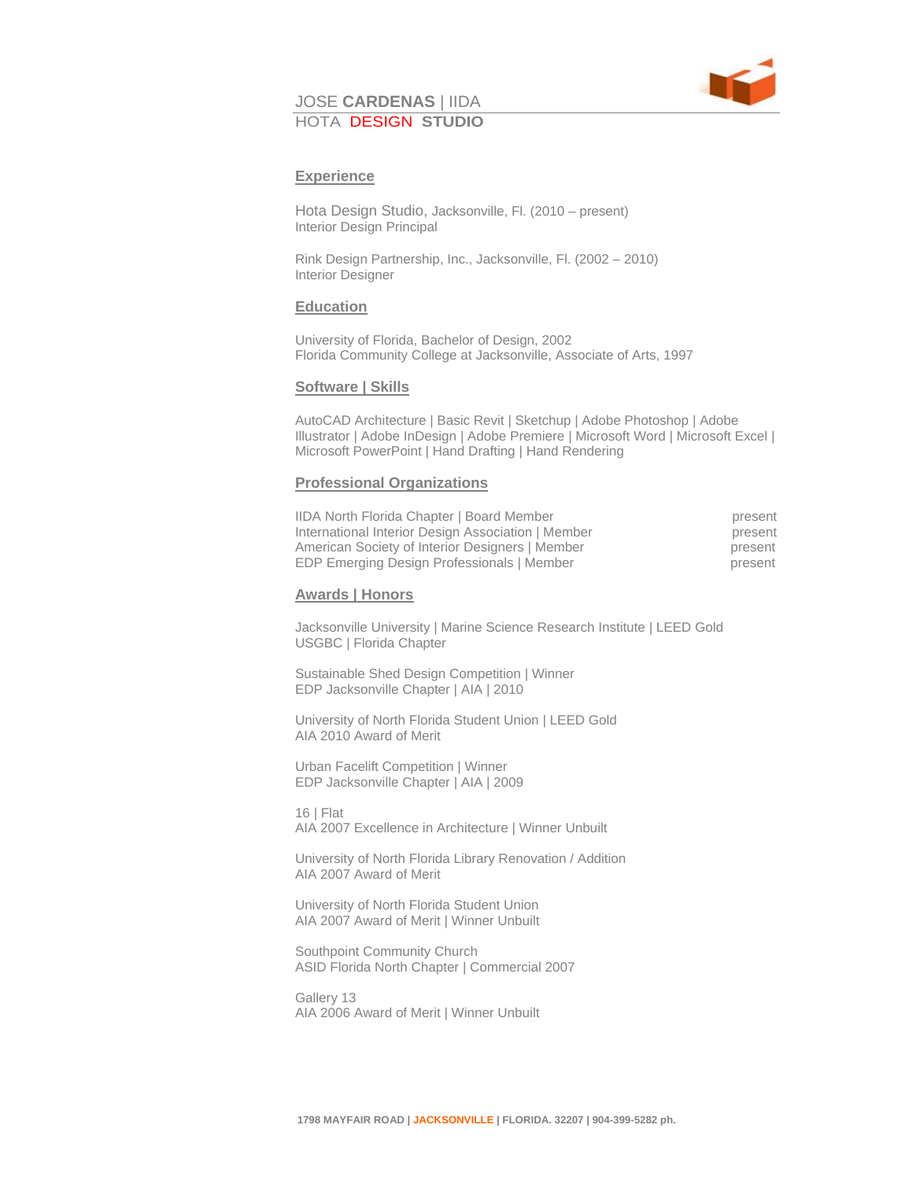

# JOSE **CARDENAS** | IIDA HOTA DESIGN **STUDIO**

# **Experience**

Hota Design Studio, Jacksonville, Fl. (2010 – present) Interior Design Principal

Rink Design Partnership, Inc., Jacksonville, Fl. (2002 – 2010) Interior Designer

## **Education**

University of Florida, Bachelor of Design, 2002 Florida Community College at Jacksonville, Associate of Arts, 1997

## **Software | Skills**

AutoCAD Architecture | Basic Revit | Sketchup | Adobe Photoshop | Adobe Illustrator | Adobe InDesign | Adobe Premiere | Microsoft Word | Microsoft Excel | Microsoft PowerPoint | Hand Drafting | Hand Rendering

## **Professional Organizations**

| <b>IIDA North Florida Chapter   Board Member</b>   | present |
|----------------------------------------------------|---------|
| International Interior Design Association   Member | present |
| American Society of Interior Designers   Member    | present |
| EDP Emerging Design Professionals   Member         | present |

#### **Awards | Honors**

Jacksonville University | Marine Science Research Institute | LEED Gold USGBC | Florida Chapter

Sustainable Shed Design Competition | Winner EDP Jacksonville Chapter | AIA | 2010

University of North Florida Student Union | LEED Gold AIA 2010 Award of Merit

Urban Facelift Competition | Winner EDP Jacksonville Chapter | AIA | 2009

16 | Flat AIA 2007 Excellence in Architecture | Winner Unbuilt

University of North Florida Library Renovation / Addition AIA 2007 Award of Merit

University of North Florida Student Union AIA 2007 Award of Merit | Winner Unbuilt

Southpoint Community Church ASID Florida North Chapter | Commercial 2007

Gallery 13 AIA 2006 Award of Merit | Winner Unbuilt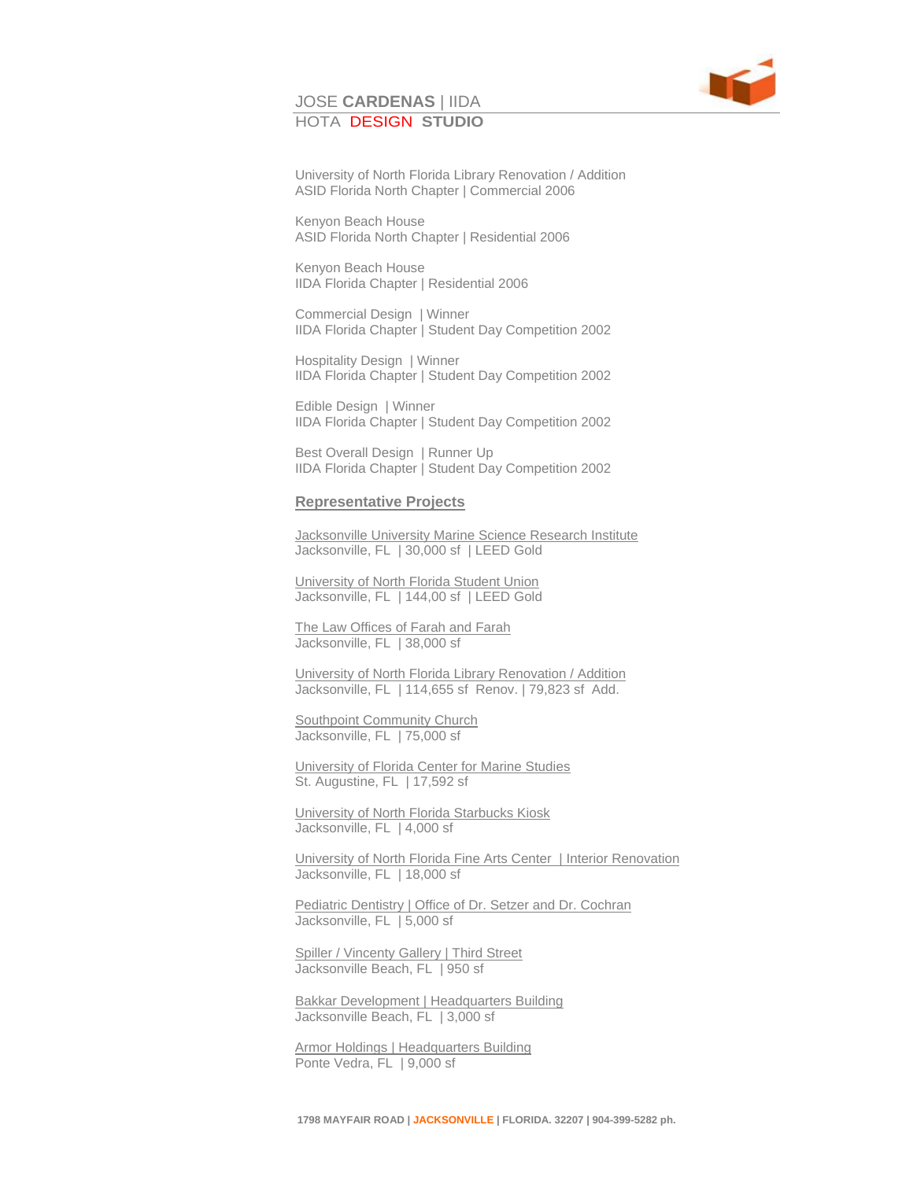#### JOSE **CARDENAS** | IIDA HOTA DESIGN **STUDIO**



University of North Florida Library Renovation / Addition ASID Florida North Chapter | Commercial 2006

Kenyon Beach House ASID Florida North Chapter | Residential 2006

Kenyon Beach House IIDA Florida Chapter | Residential 2006

Commercial Design | Winner IIDA Florida Chapter | Student Day Competition 2002

Hospitality Design | Winner IIDA Florida Chapter | Student Day Competition 2002

Edible Design | Winner IIDA Florida Chapter | Student Day Competition 2002

Best Overall Design | Runner Up IIDA Florida Chapter | Student Day Competition 2002

#### **Representative Projects**

Jacksonville University Marine Science Research Institute Jacksonville, FL | 30,000 sf | LEED Gold

University of North Florida Student Union Jacksonville, FL | 144,00 sf | LEED Gold

The Law Offices of Farah and Farah Jacksonville, FL | 38,000 sf

University of North Florida Library Renovation / Addition Jacksonville, FL | 114,655 sf Renov. | 79,823 sf Add.

Southpoint Community Church Jacksonville, FL | 75,000 sf

University of Florida Center for Marine Studies St. Augustine, FL | 17,592 sf

University of North Florida Starbucks Kiosk Jacksonville, FL | 4,000 sf

University of North Florida Fine Arts Center | Interior Renovation Jacksonville, FL | 18,000 sf

Pediatric Dentistry | Office of Dr. Setzer and Dr. Cochran Jacksonville, FL | 5,000 sf

Spiller / Vincenty Gallery | Third Street Jacksonville Beach, FL | 950 sf

**Bakkar Development | Headquarters Building** Jacksonville Beach, FL | 3,000 sf

**Armor Holdings | Headquarters Building** Ponte Vedra, FL | 9,000 sf